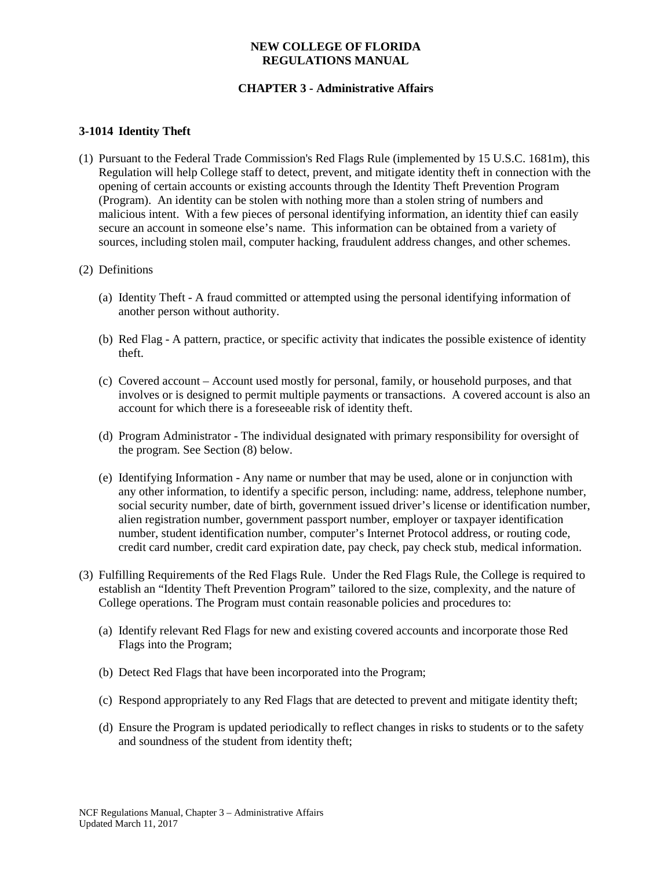# **CHAPTER 3 - Administrative Affairs**

### **3-1014 Identity Theft**

(1) Pursuant to the Federal Trade Commission's Red Flags Rule (implemented by 15 U.S.C. 1681m), this Regulation will help College staff to detect, prevent, and mitigate identity theft in connection with the opening of certain accounts or existing accounts through the Identity Theft Prevention Program (Program). An identity can be stolen with nothing more than a stolen string of numbers and malicious intent. With a few pieces of personal identifying information, an identity thief can easily secure an account in someone else's name. This information can be obtained from a variety of sources, including stolen mail, computer hacking, fraudulent address changes, and other schemes.

#### (2) Definitions

- (a) Identity Theft A fraud committed or attempted using the personal identifying information of another person without authority.
- (b) Red Flag A pattern, practice, or specific activity that indicates the possible existence of identity theft.
- (c) Covered account Account used mostly for personal, family, or household purposes, and that involves or is designed to permit multiple payments or transactions. A covered account is also an account for which there is a foreseeable risk of identity theft.
- (d) Program Administrator The individual designated with primary responsibility for oversight of the program. See Section (8) below.
- (e) Identifying Information Any name or number that may be used, alone or in conjunction with any other information, to identify a specific person, including: name, address, telephone number, social security number, date of birth, government issued driver's license or identification number, alien registration number, government passport number, employer or taxpayer identification number, student identification number, computer's Internet Protocol address, or routing code, credit card number, credit card expiration date, pay check, pay check stub, medical information.
- (3) Fulfilling Requirements of the Red Flags Rule. Under the Red Flags Rule, the College is required to establish an "Identity Theft Prevention Program" tailored to the size, complexity, and the nature of College operations. The Program must contain reasonable policies and procedures to:
	- (a) Identify relevant Red Flags for new and existing covered accounts and incorporate those Red Flags into the Program;
	- (b) Detect Red Flags that have been incorporated into the Program;
	- (c) Respond appropriately to any Red Flags that are detected to prevent and mitigate identity theft;
	- (d) Ensure the Program is updated periodically to reflect changes in risks to students or to the safety and soundness of the student from identity theft;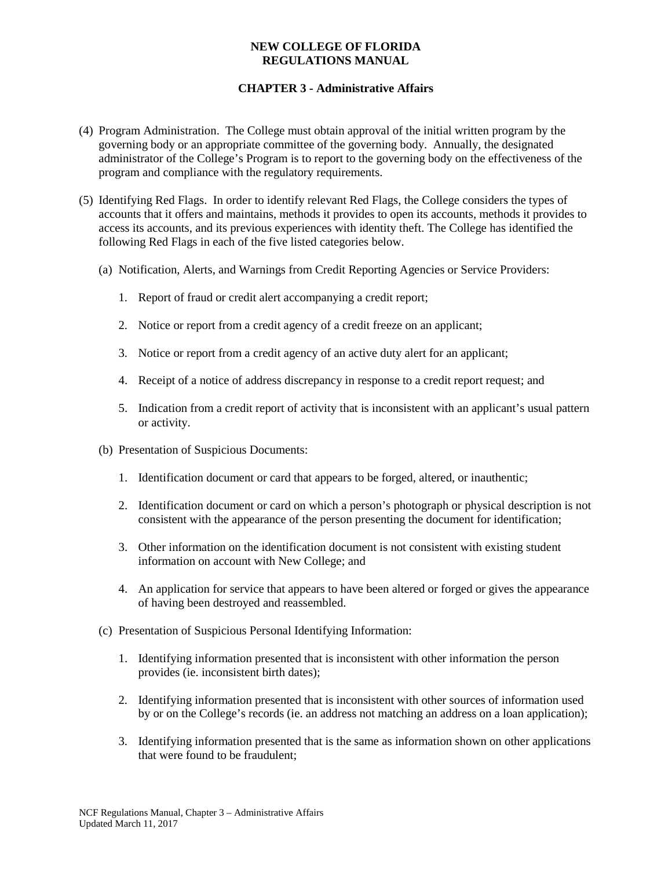- (4) Program Administration. The College must obtain approval of the initial written program by the governing body or an appropriate committee of the governing body. Annually, the designated administrator of the College's Program is to report to the governing body on the effectiveness of the program and compliance with the regulatory requirements.
- (5) Identifying Red Flags. In order to identify relevant Red Flags, the College considers the types of accounts that it offers and maintains, methods it provides to open its accounts, methods it provides to access its accounts, and its previous experiences with identity theft. The College has identified the following Red Flags in each of the five listed categories below.
	- (a) Notification, Alerts, and Warnings from Credit Reporting Agencies or Service Providers:
		- 1. Report of fraud or credit alert accompanying a credit report;
		- 2. Notice or report from a credit agency of a credit freeze on an applicant;
		- 3. Notice or report from a credit agency of an active duty alert for an applicant;
		- 4. Receipt of a notice of address discrepancy in response to a credit report request; and
		- 5. Indication from a credit report of activity that is inconsistent with an applicant's usual pattern or activity.
	- (b) Presentation of Suspicious Documents:
		- 1. Identification document or card that appears to be forged, altered, or inauthentic;
		- 2. Identification document or card on which a person's photograph or physical description is not consistent with the appearance of the person presenting the document for identification;
		- 3. Other information on the identification document is not consistent with existing student information on account with New College; and
		- 4. An application for service that appears to have been altered or forged or gives the appearance of having been destroyed and reassembled.
	- (c) Presentation of Suspicious Personal Identifying Information:
		- 1. Identifying information presented that is inconsistent with other information the person provides (ie. inconsistent birth dates);
		- 2. Identifying information presented that is inconsistent with other sources of information used by or on the College's records (ie. an address not matching an address on a loan application);
		- 3. Identifying information presented that is the same as information shown on other applications that were found to be fraudulent;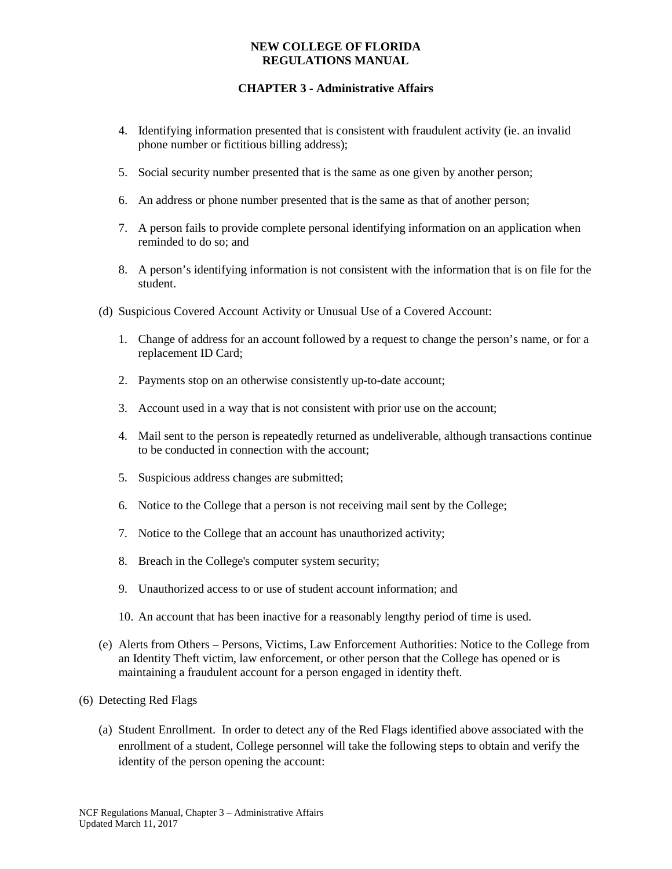- 4. Identifying information presented that is consistent with fraudulent activity (ie. an invalid phone number or fictitious billing address);
- 5. Social security number presented that is the same as one given by another person;
- 6. An address or phone number presented that is the same as that of another person;
- 7. A person fails to provide complete personal identifying information on an application when reminded to do so; and
- 8. A person's identifying information is not consistent with the information that is on file for the student.
- (d) Suspicious Covered Account Activity or Unusual Use of a Covered Account:
	- 1. Change of address for an account followed by a request to change the person's name, or for a replacement ID Card;
	- 2. Payments stop on an otherwise consistently up-to-date account;
	- 3. Account used in a way that is not consistent with prior use on the account;
	- 4. Mail sent to the person is repeatedly returned as undeliverable, although transactions continue to be conducted in connection with the account;
	- 5. Suspicious address changes are submitted;
	- 6. Notice to the College that a person is not receiving mail sent by the College;
	- 7. Notice to the College that an account has unauthorized activity;
	- 8. Breach in the College's computer system security;
	- 9. Unauthorized access to or use of student account information; and
	- 10. An account that has been inactive for a reasonably lengthy period of time is used.
- (e) Alerts from Others Persons, Victims, Law Enforcement Authorities: Notice to the College from an Identity Theft victim, law enforcement, or other person that the College has opened or is maintaining a fraudulent account for a person engaged in identity theft.
- (6) Detecting Red Flags
	- (a) Student Enrollment. In order to detect any of the Red Flags identified above associated with the enrollment of a student, College personnel will take the following steps to obtain and verify the identity of the person opening the account: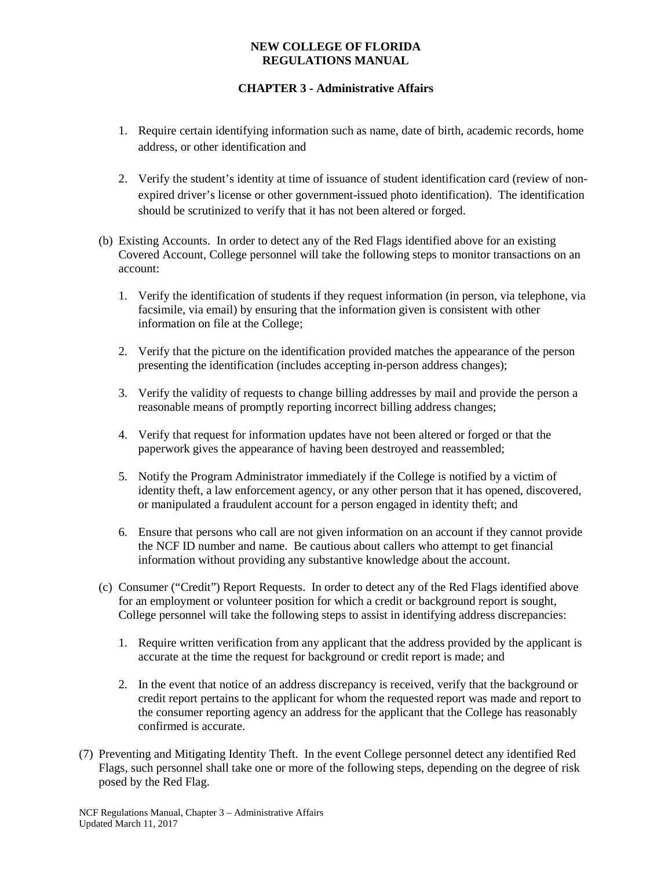- 1. Require certain identifying information such as name, date of birth, academic records, home address, or other identification and
- 2. Verify the student's identity at time of issuance of student identification card (review of nonexpired driver's license or other government-issued photo identification). The identification should be scrutinized to verify that it has not been altered or forged.
- (b) Existing Accounts. In order to detect any of the Red Flags identified above for an existing Covered Account, College personnel will take the following steps to monitor transactions on an account:
	- 1. Verify the identification of students if they request information (in person, via telephone, via facsimile, via email) by ensuring that the information given is consistent with other information on file at the College;
	- 2. Verify that the picture on the identification provided matches the appearance of the person presenting the identification (includes accepting in-person address changes);
	- 3. Verify the validity of requests to change billing addresses by mail and provide the person a reasonable means of promptly reporting incorrect billing address changes;
	- 4. Verify that request for information updates have not been altered or forged or that the paperwork gives the appearance of having been destroyed and reassembled;
	- 5. Notify the Program Administrator immediately if the College is notified by a victim of identity theft, a law enforcement agency, or any other person that it has opened, discovered, or manipulated a fraudulent account for a person engaged in identity theft; and
	- 6. Ensure that persons who call are not given information on an account if they cannot provide the NCF ID number and name. Be cautious about callers who attempt to get financial information without providing any substantive knowledge about the account.
- (c) Consumer ("Credit") Report Requests. In order to detect any of the Red Flags identified above for an employment or volunteer position for which a credit or background report is sought, College personnel will take the following steps to assist in identifying address discrepancies:
	- 1. Require written verification from any applicant that the address provided by the applicant is accurate at the time the request for background or credit report is made; and
	- 2. In the event that notice of an address discrepancy is received, verify that the background or credit report pertains to the applicant for whom the requested report was made and report to the consumer reporting agency an address for the applicant that the College has reasonably confirmed is accurate.
- (7) Preventing and Mitigating Identity Theft. In the event College personnel detect any identified Red Flags, such personnel shall take one or more of the following steps, depending on the degree of risk posed by the Red Flag.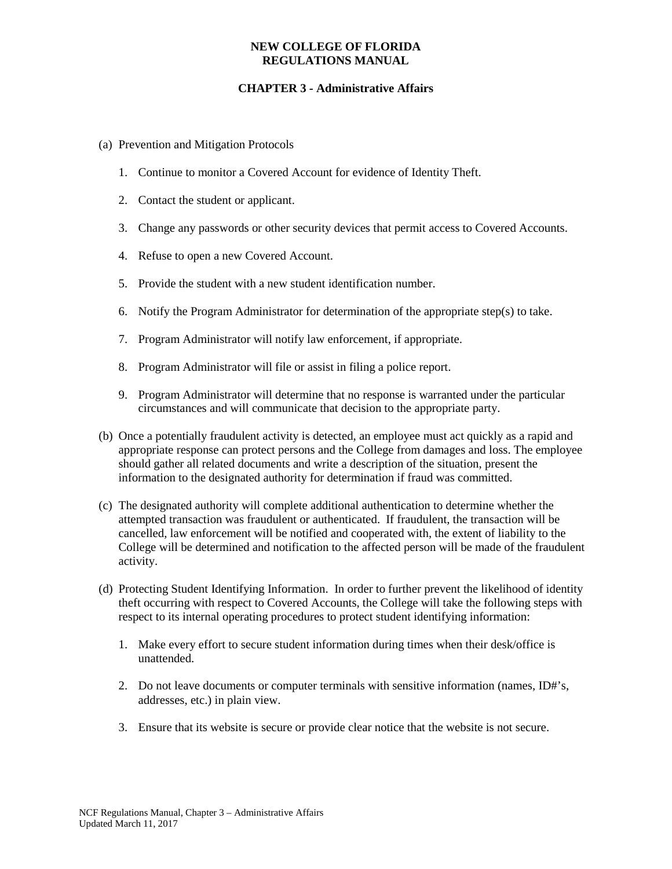- (a) Prevention and Mitigation Protocols
	- 1. Continue to monitor a Covered Account for evidence of Identity Theft.
	- 2. Contact the student or applicant.
	- 3. Change any passwords or other security devices that permit access to Covered Accounts.
	- 4. Refuse to open a new Covered Account.
	- 5. Provide the student with a new student identification number.
	- 6. Notify the Program Administrator for determination of the appropriate step(s) to take.
	- 7. Program Administrator will notify law enforcement, if appropriate.
	- 8. Program Administrator will file or assist in filing a police report.
	- 9. Program Administrator will determine that no response is warranted under the particular circumstances and will communicate that decision to the appropriate party.
- (b) Once a potentially fraudulent activity is detected, an employee must act quickly as a rapid and appropriate response can protect persons and the College from damages and loss. The employee should gather all related documents and write a description of the situation, present the information to the designated authority for determination if fraud was committed.
- (c) The designated authority will complete additional authentication to determine whether the attempted transaction was fraudulent or authenticated. If fraudulent, the transaction will be cancelled, law enforcement will be notified and cooperated with, the extent of liability to the College will be determined and notification to the affected person will be made of the fraudulent activity.
- (d) Protecting Student Identifying Information. In order to further prevent the likelihood of identity theft occurring with respect to Covered Accounts, the College will take the following steps with respect to its internal operating procedures to protect student identifying information:
	- 1. Make every effort to secure student information during times when their desk/office is unattended.
	- 2. Do not leave documents or computer terminals with sensitive information (names, ID#'s, addresses, etc.) in plain view.
	- 3. Ensure that its website is secure or provide clear notice that the website is not secure.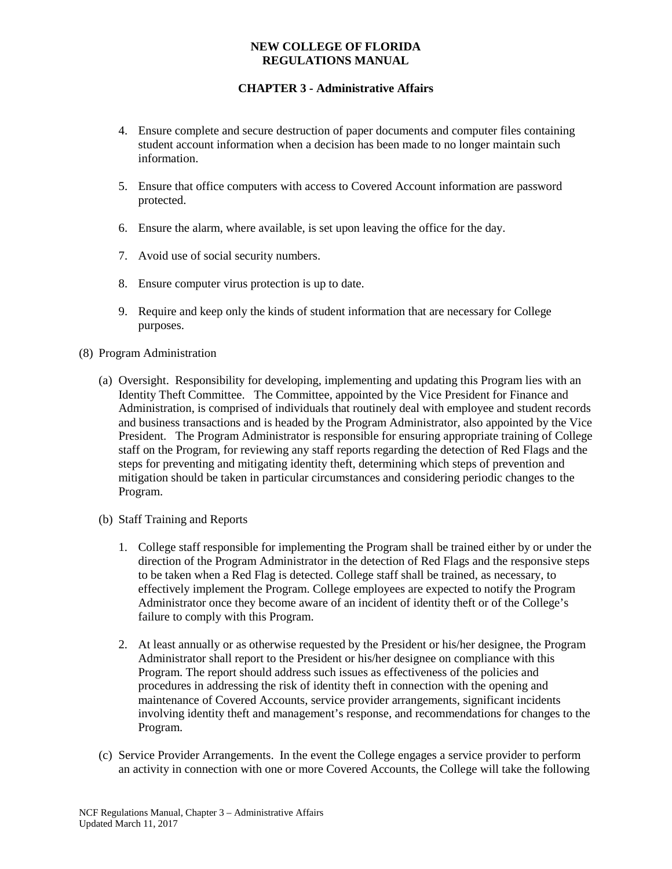- 4. Ensure complete and secure destruction of paper documents and computer files containing student account information when a decision has been made to no longer maintain such information.
- 5. Ensure that office computers with access to Covered Account information are password protected.
- 6. Ensure the alarm, where available, is set upon leaving the office for the day.
- 7. Avoid use of social security numbers.
- 8. Ensure computer virus protection is up to date.
- 9. Require and keep only the kinds of student information that are necessary for College purposes.
- (8) Program Administration
	- (a) Oversight. Responsibility for developing, implementing and updating this Program lies with an Identity Theft Committee. The Committee, appointed by the Vice President for Finance and Administration, is comprised of individuals that routinely deal with employee and student records and business transactions and is headed by the Program Administrator, also appointed by the Vice President. The Program Administrator is responsible for ensuring appropriate training of College staff on the Program, for reviewing any staff reports regarding the detection of Red Flags and the steps for preventing and mitigating identity theft, determining which steps of prevention and mitigation should be taken in particular circumstances and considering periodic changes to the Program.
	- (b) Staff Training and Reports
		- 1. College staff responsible for implementing the Program shall be trained either by or under the direction of the Program Administrator in the detection of Red Flags and the responsive steps to be taken when a Red Flag is detected. College staff shall be trained, as necessary, to effectively implement the Program. College employees are expected to notify the Program Administrator once they become aware of an incident of identity theft or of the College's failure to comply with this Program.
		- 2. At least annually or as otherwise requested by the President or his/her designee, the Program Administrator shall report to the President or his/her designee on compliance with this Program. The report should address such issues as effectiveness of the policies and procedures in addressing the risk of identity theft in connection with the opening and maintenance of Covered Accounts, service provider arrangements, significant incidents involving identity theft and management's response, and recommendations for changes to the Program.
	- (c) Service Provider Arrangements. In the event the College engages a service provider to perform an activity in connection with one or more Covered Accounts, the College will take the following